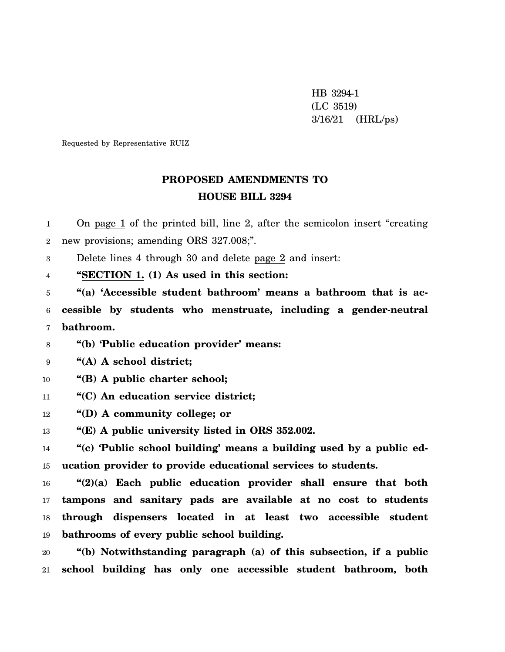HB 3294-1 (LC 3519) 3/16/21 (HRL/ps)

Requested by Representative RUIZ

## **PROPOSED AMENDMENTS TO HOUSE BILL 3294**

1 2 On page 1 of the printed bill, line 2, after the semicolon insert "creating new provisions; amending ORS 327.008;".

3 Delete lines 4 through 30 and delete page 2 and insert:

4 **"SECTION 1. (1) As used in this section:**

5 6 7 **"(a) 'Accessible student bathroom' means a bathroom that is accessible by students who menstruate, including a gender-neutral bathroom.**

8 **"(b) 'Public education provider' means:**

9 **"(A) A school district;**

10 **"(B) A public charter school;**

11 **"(C) An education service district;**

12 **"(D) A community college; or**

13 **"(E) A public university listed in ORS 352.002.**

14 15 **"(c) 'Public school building' means a building used by a public education provider to provide educational services to students.**

16 17 18 19 **"(2)(a) Each public education provider shall ensure that both tampons and sanitary pads are available at no cost to students through dispensers located in at least two accessible student bathrooms of every public school building.**

20 21 **"(b) Notwithstanding paragraph (a) of this subsection, if a public school building has only one accessible student bathroom, both**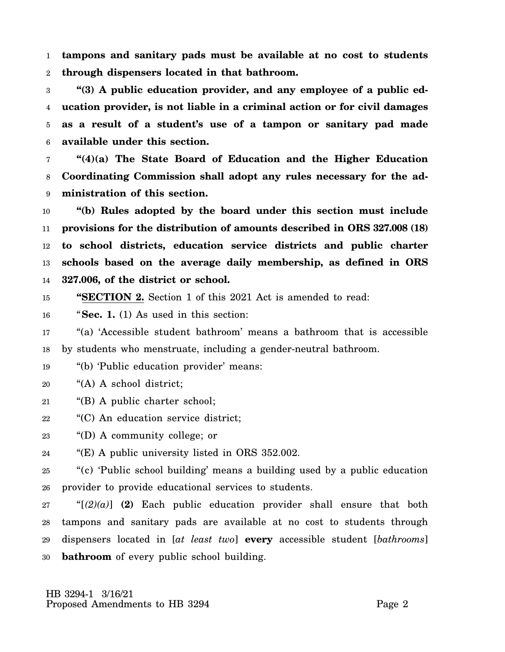1 2 **tampons and sanitary pads must be available at no cost to students through dispensers located in that bathroom.**

3 4 5 6 **"(3) A public education provider, and any employee of a public education provider, is not liable in a criminal action or for civil damages as a result of a student's use of a tampon or sanitary pad made available under this section.**

7 8 9 **"(4)(a) The State Board of Education and the Higher Education Coordinating Commission shall adopt any rules necessary for the administration of this section.**

10 11 12 13 14 **"(b) Rules adopted by the board under this section must include provisions for the distribution of amounts described in ORS 327.008 (18) to school districts, education service districts and public charter schools based on the average daily membership, as defined in ORS 327.006, of the district or school.**

15 **"SECTION 2.** Section 1 of this 2021 Act is amended to read:

16 "**Sec. 1.** (1) As used in this section:

17 18 "(a) 'Accessible student bathroom' means a bathroom that is accessible by students who menstruate, including a gender-neutral bathroom.

19 "(b) 'Public education provider' means:

20 "(A) A school district;

- 21 "(B) A public charter school;
- 22 "(C) An education service district;

23 "(D) A community college; or

24 "(E) A public university listed in ORS 352.002.

25 26 "(c) 'Public school building' means a building used by a public education provider to provide educational services to students.

27 28 29 30 "[*(2)(a)*] **(2)** Each public education provider shall ensure that both tampons and sanitary pads are available at no cost to students through dispensers located in [*at least two*] **every** accessible student [*bathrooms*] **bathroom** of every public school building.

 HB 3294-1 3/16/21 Proposed Amendments to HB 3294 Page 2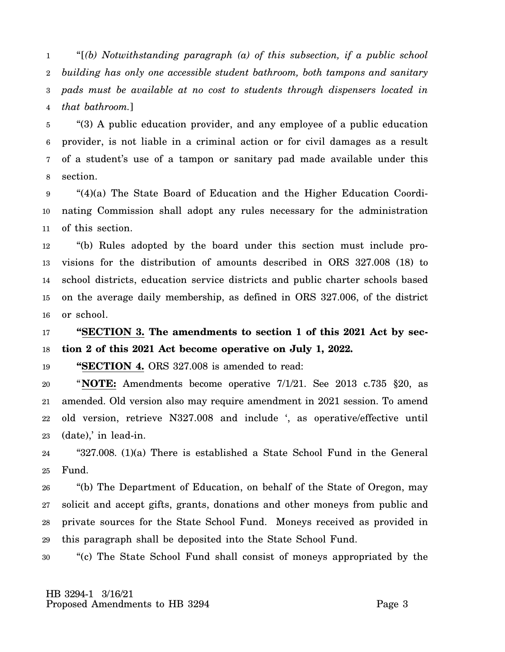1 2 3 4 "[*(b) Notwithstanding paragraph (a) of this subsection, if a public school building has only one accessible student bathroom, both tampons and sanitary pads must be available at no cost to students through dispensers located in that bathroom.*]

5 6 7 8 "(3) A public education provider, and any employee of a public education provider, is not liable in a criminal action or for civil damages as a result of a student's use of a tampon or sanitary pad made available under this section.

9 10 11 "(4)(a) The State Board of Education and the Higher Education Coordinating Commission shall adopt any rules necessary for the administration of this section.

12 13 14 15 16 "(b) Rules adopted by the board under this section must include provisions for the distribution of amounts described in ORS 327.008 (18) to school districts, education service districts and public charter schools based on the average daily membership, as defined in ORS 327.006, of the district or school.

17 18 **"SECTION 3. The amendments to section 1 of this 2021 Act by section 2 of this 2021 Act become operative on July 1, 2022.**

19 **"SECTION 4.** ORS 327.008 is amended to read:

20 21 22 23 "**NOTE:** Amendments become operative 7/1/21. See 2013 c.735 §20, as amended. Old version also may require amendment in 2021 session. To amend old version, retrieve N327.008 and include ', as operative/effective until (date),' in lead-in.

24 25 "327.008. (1)(a) There is established a State School Fund in the General Fund.

26 27 28 29 "(b) The Department of Education, on behalf of the State of Oregon, may solicit and accept gifts, grants, donations and other moneys from public and private sources for the State School Fund. Moneys received as provided in this paragraph shall be deposited into the State School Fund.

30 "(c) The State School Fund shall consist of moneys appropriated by the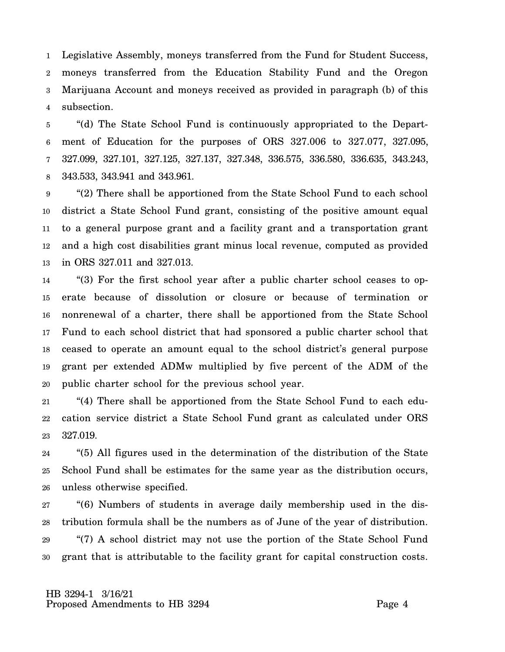1 2 3 4 Legislative Assembly, moneys transferred from the Fund for Student Success, moneys transferred from the Education Stability Fund and the Oregon Marijuana Account and moneys received as provided in paragraph (b) of this subsection.

5 6 7 8 "(d) The State School Fund is continuously appropriated to the Department of Education for the purposes of ORS 327.006 to 327.077, 327.095, 327.099, 327.101, 327.125, 327.137, 327.348, 336.575, 336.580, 336.635, 343.243, 343.533, 343.941 and 343.961.

9 10 11 12 13 "(2) There shall be apportioned from the State School Fund to each school district a State School Fund grant, consisting of the positive amount equal to a general purpose grant and a facility grant and a transportation grant and a high cost disabilities grant minus local revenue, computed as provided in ORS 327.011 and 327.013.

14 15 16 17 18 19 20 "(3) For the first school year after a public charter school ceases to operate because of dissolution or closure or because of termination or nonrenewal of a charter, there shall be apportioned from the State School Fund to each school district that had sponsored a public charter school that ceased to operate an amount equal to the school district's general purpose grant per extended ADMw multiplied by five percent of the ADM of the public charter school for the previous school year.

21 22 23 "(4) There shall be apportioned from the State School Fund to each education service district a State School Fund grant as calculated under ORS 327.019.

24 25 26 "(5) All figures used in the determination of the distribution of the State School Fund shall be estimates for the same year as the distribution occurs, unless otherwise specified.

27 28 29 30 "(6) Numbers of students in average daily membership used in the distribution formula shall be the numbers as of June of the year of distribution. "(7) A school district may not use the portion of the State School Fund grant that is attributable to the facility grant for capital construction costs.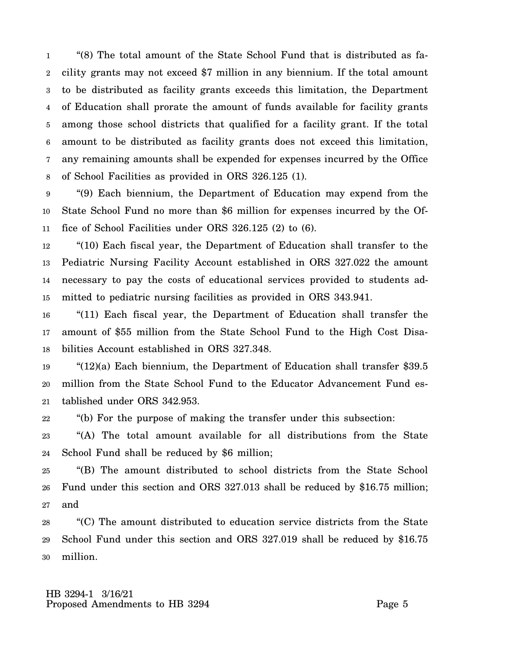1 2 3 4 5 6 7 8 "(8) The total amount of the State School Fund that is distributed as facility grants may not exceed \$7 million in any biennium. If the total amount to be distributed as facility grants exceeds this limitation, the Department of Education shall prorate the amount of funds available for facility grants among those school districts that qualified for a facility grant. If the total amount to be distributed as facility grants does not exceed this limitation, any remaining amounts shall be expended for expenses incurred by the Office of School Facilities as provided in ORS 326.125 (1).

9 10 11 "(9) Each biennium, the Department of Education may expend from the State School Fund no more than \$6 million for expenses incurred by the Office of School Facilities under ORS 326.125 (2) to (6).

12 13 14 15 "(10) Each fiscal year, the Department of Education shall transfer to the Pediatric Nursing Facility Account established in ORS 327.022 the amount necessary to pay the costs of educational services provided to students admitted to pediatric nursing facilities as provided in ORS 343.941.

16 17 18 "(11) Each fiscal year, the Department of Education shall transfer the amount of \$55 million from the State School Fund to the High Cost Disabilities Account established in ORS 327.348.

19 20 21 "(12)(a) Each biennium, the Department of Education shall transfer \$39.5 million from the State School Fund to the Educator Advancement Fund established under ORS 342.953.

22 "(b) For the purpose of making the transfer under this subsection:

23 24 "(A) The total amount available for all distributions from the State School Fund shall be reduced by \$6 million;

25 26 27 "(B) The amount distributed to school districts from the State School Fund under this section and ORS 327.013 shall be reduced by \$16.75 million; and

28 29 30 "(C) The amount distributed to education service districts from the State School Fund under this section and ORS 327.019 shall be reduced by \$16.75 million.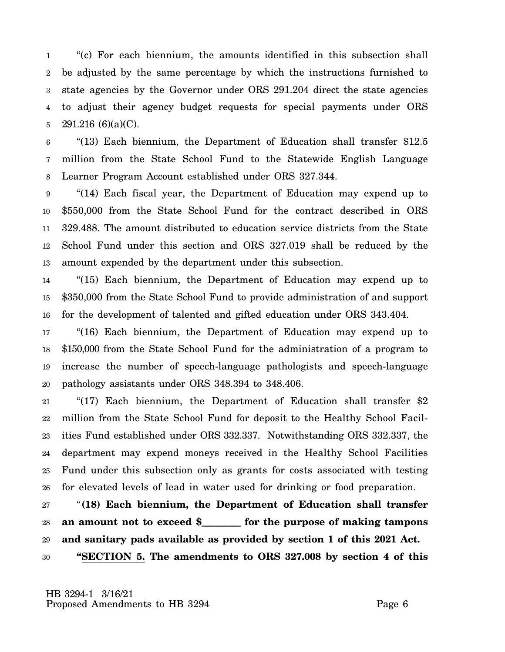1 2 3 4 5 "(c) For each biennium, the amounts identified in this subsection shall be adjusted by the same percentage by which the instructions furnished to state agencies by the Governor under ORS 291.204 direct the state agencies to adjust their agency budget requests for special payments under ORS 291.216 (6)(a)(C).

6 7 8 "(13) Each biennium, the Department of Education shall transfer \$12.5 million from the State School Fund to the Statewide English Language Learner Program Account established under ORS 327.344.

9 10 11 12 13 "(14) Each fiscal year, the Department of Education may expend up to \$550,000 from the State School Fund for the contract described in ORS 329.488. The amount distributed to education service districts from the State School Fund under this section and ORS 327.019 shall be reduced by the amount expended by the department under this subsection.

14 15 16 "(15) Each biennium, the Department of Education may expend up to \$350,000 from the State School Fund to provide administration of and support for the development of talented and gifted education under ORS 343.404.

17 18 19 20 "(16) Each biennium, the Department of Education may expend up to \$150,000 from the State School Fund for the administration of a program to increase the number of speech-language pathologists and speech-language pathology assistants under ORS 348.394 to 348.406.

21 22 23 24 25 26 "(17) Each biennium, the Department of Education shall transfer \$2 million from the State School Fund for deposit to the Healthy School Facilities Fund established under ORS 332.337. Notwithstanding ORS 332.337, the department may expend moneys received in the Healthy School Facilities Fund under this subsection only as grants for costs associated with testing for elevated levels of lead in water used for drinking or food preparation.

27 28 29 30 "**(18) Each biennium, the Department of Education shall transfer an amount not to exceed \$\_\_\_\_\_\_\_\_ for the purpose of making tampons and sanitary pads available as provided by section 1 of this 2021 Act. "SECTION 5. The amendments to ORS 327.008 by section 4 of this**